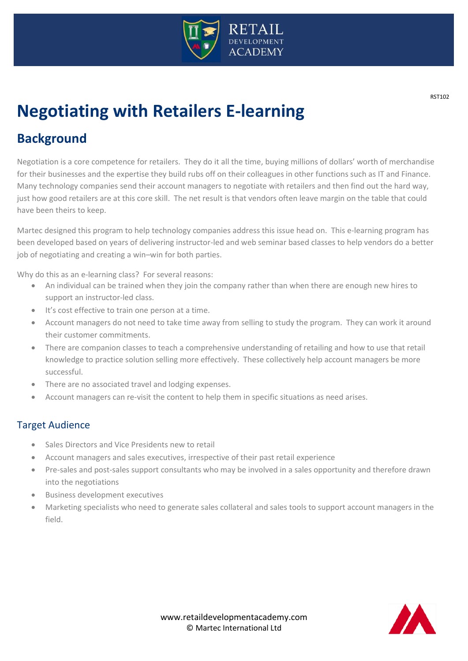

# **Negotiating with Retailers E-learning**

# **Background**

Negotiation is a core competence for retailers. They do it all the time, buying millions of dollars' worth of merchandise for their businesses and the expertise they build rubs off on their colleagues in other functions such as IT and Finance. Many technology companies send their account managers to negotiate with retailers and then find out the hard way, just how good retailers are at this core skill. The net result is that vendors often leave margin on the table that could have been theirs to keep.

Martec designed this program to help technology companies address this issue head on. This e-learning program has been developed based on years of delivering instructor-led and web seminar based classes to help vendors do a better job of negotiating and creating a win–win for both parties.

Why do this as an e-learning class? For several reasons:

- An individual can be trained when they join the company rather than when there are enough new hires to support an instructor-led class.
- It's cost effective to train one person at a time.
- Account managers do not need to take time away from selling to study the program. They can work it around their customer commitments.
- There are companion classes to teach a comprehensive understanding of retailing and how to use that retail knowledge to practice solution selling more effectively. These collectively help account managers be more successful.
- There are no associated travel and lodging expenses.
- Account managers can re-visit the content to help them in specific situations as need arises.

# Target Audience

- Sales Directors and Vice Presidents new to retail
- Account managers and sales executives, irrespective of their past retail experience
- Pre-sales and post-sales support consultants who may be involved in a sales opportunity and therefore drawn into the negotiations
- Business development executives
- Marketing specialists who need to generate sales collateral and sales tools to support account managers in the field.



 $\overline{\phantom{a}}$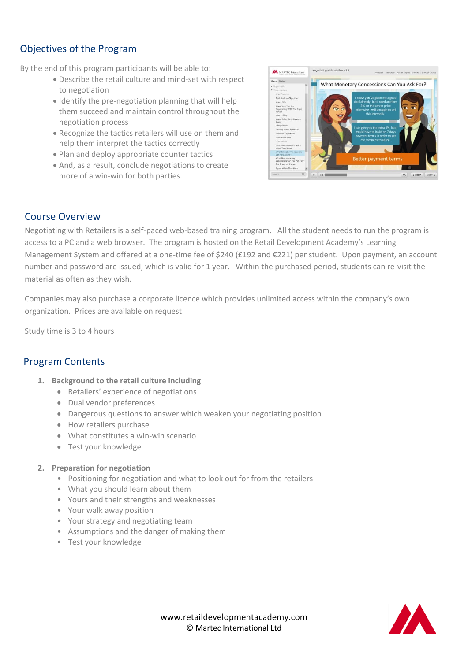# Objectives of the Program

By the end of this program participants will be able to:

- Describe the retail culture and mind-set with respect to negotiation
- Identify the pre-negotiation planning that will help them succeed and maintain control throughout the negotiation process
- Recognize the tactics retailers will use on them and help them interpret the tactics correctly
- Plan and deploy appropriate counter tactics
- And, as a result, conclude negotiations to create more of a win-win for both parties.



# Course Overview

Negotiating with Retailers is a self-paced web-based training program. All the student needs to run the program is access to a PC and a web browser. The program is hosted on the Retail Development Academy's Learning Management System and offered at a one-time fee of \$240 (£192 and €221) per student. Upon payment, an account number and password are issued, which is valid for 1 year. Within the purchased period, students can re-visit the material as often as they wish.

Companies may also purchase a corporate licence which provides unlimited access within the company's own organization. Prices are available on request.

Study time is 3 to 4 hours

## Program Contents

- **1. Background to the retail culture including**
	- Retailers' experience of negotiations
	- Dual vendor preferences
	- Dangerous questions to answer which weaken your negotiating position
	- How retailers purchase
	- What constitutes a win-win scenario
	- Test your knowledge
- **2. Preparation for negotiation**
	- Positioning for negotiation and what to look out for from the retailers
	- What you should learn about them
	- Yours and their strengths and weaknesses
	- Your walk away position
	- Your strategy and negotiating team
	- Assumptions and the danger of making them
	- Test your knowledge

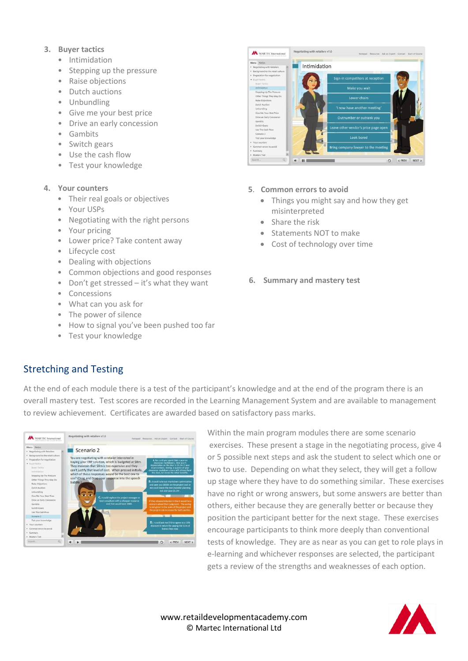- **3. Buyer tactics**
	- Intimidation
	- Stepping up the pressure
	- Raise objections
	- Dutch auctions
	- Unbundling
	- Give me your best price
	- Drive an early concession
	- Gambits
	- Switch gears
	- Use the cash flow
	- Test your knowledge

#### **4. Your counters**

- Their real goals or objectives
- Your USPs
- Negotiating with the right persons
- Your pricing
- Lower price? Take content away
- Lifecycle cost
- Dealing with objections
- Common objections and good responses
- Don't get stressed it's what they want
- Concessions
- What can you ask for
- The power of silence
- How to signal you've been pushed too far
- Test your knowledge



## **5**. **Common errors to avoid**

- Things you might say and how they get misinterpreted
- Share the risk
- Statements NOT to make
- Cost of technology over time
- **6. Summary and mastery test**

# Stretching and Testing

At the end of each module there is a test of the participant's knowledge and at the end of the program there is an overall mastery test. Test scores are recorded in the Learning Management System and are available to management to review achievement. Certificates are awarded based on satisfactory pass marks.



Within the main program modules there are some scenario exercises. These present a stage in the negotiating process, give 4 or 5 possible next steps and ask the student to select which one or two to use. Depending on what they select, they will get a follow up stage where they have to do something similar. These exercises have no right or wrong answers, but some answers are better than others, either because they are generally better or because they position the participant better for the next stage. These exercises encourage participants to think more deeply than conventional tests of knowledge. They are as near as you can get to role plays in e-learning and whichever responses are selected, the participant gets a review of the strengths and weaknesses of each option.